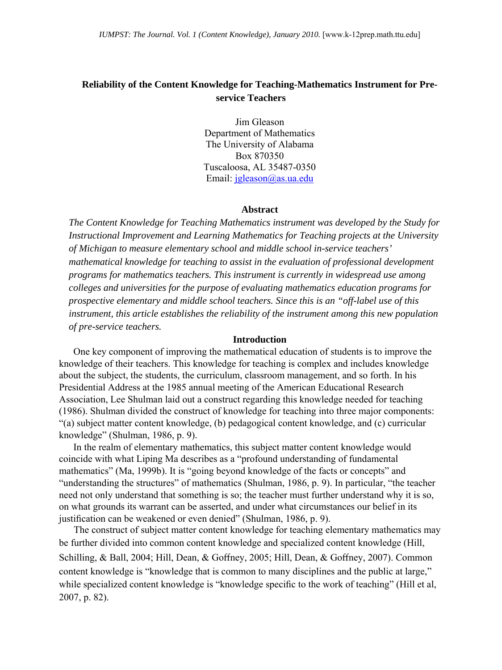# **Reliability of the Content Knowledge for Teaching-Mathematics Instrument for Preservice Teachers**

Jim Gleason Department of Mathematics The University of Alabama Box 870350 Tuscaloosa, AL 35487-0350 Email: [jgleason@as.ua.edu](mailto:jgleason@as.ua.edu)

#### **Abstract**

*The Content Knowledge for Teaching Mathematics instrument was developed by the Study for Instructional Improvement and Learning Mathematics for Teaching projects at the University of Michigan to measure elementary school and middle school in-service teachers' mathematical knowledge for teaching to assist in the evaluation of professional development programs for mathematics teachers. This instrument is currently in widespread use among colleges and universities for the purpose of evaluating mathematics education programs for prospective elementary and middle school teachers. Since this is an "off-label use of this instrument, this article establishes the reliability of the instrument among this new population of pre-service teachers.* 

### **Introduction**

One key component of improving the mathematical education of students is to improve the knowledge of their teachers. This knowledge for teaching is complex and includes knowledge about the subject, the students, the curriculum, classroom management, and so forth. In his Presidential Address at the 1985 annual meeting of the American Educational Research Association, Lee Shulman laid out a construct regarding this knowledge needed for teaching (1986). Shulman divided the construct of knowledge for teaching into three major components: "(a) subject matter content knowledge, (b) pedagogical content knowledge, and (c) curricular knowledge" (Shulman, 1986, p. 9).

In the realm of elementary mathematics, this subject matter content knowledge would coincide with what Liping Ma describes as a "profound understanding of fundamental mathematics" (Ma, 1999b). It is "going beyond knowledge of the facts or concepts" and "understanding the structures" of mathematics (Shulman, 1986, p. 9). In particular, "the teacher need not only understand that something is so; the teacher must further understand why it is so, on what grounds its warrant can be asserted, and under what circumstances our belief in its justification can be weakened or even denied" (Shulman, 1986, p. 9).

The construct of subject matter content knowledge for teaching elementary mathematics may be further divided into common content knowledge and specialized content knowledge (Hill, Schilling, & Ball, 2004; Hill, Dean, & Goffney, 2005; Hill, Dean, & Goffney, 2007). Common content knowledge is "knowledge that is common to many disciplines and the public at large," while specialized content knowledge is "knowledge specific to the work of teaching" (Hill et al, 2007, p. 82).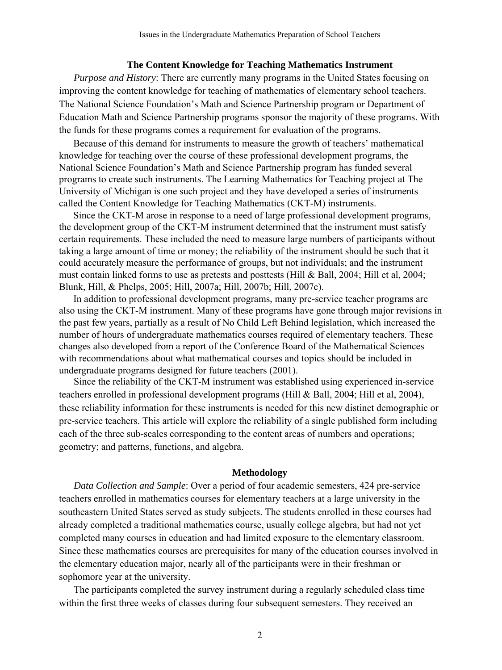#### **The Content Knowledge for Teaching Mathematics Instrument**

*Purpose and History*: There are currently many programs in the United States focusing on improving the content knowledge for teaching of mathematics of elementary school teachers. The National Science Foundation's Math and Science Partnership program or Department of Education Math and Science Partnership programs sponsor the majority of these programs. With the funds for these programs comes a requirement for evaluation of the programs.

Because of this demand for instruments to measure the growth of teachers' mathematical knowledge for teaching over the course of these professional development programs, the National Science Foundation's Math and Science Partnership program has funded several programs to create such instruments. The Learning Mathematics for Teaching project at The University of Michigan is one such project and they have developed a series of instruments called the Content Knowledge for Teaching Mathematics (CKT-M) instruments.

Since the CKT-M arose in response to a need of large professional development programs, the development group of the CKT-M instrument determined that the instrument must satisfy certain requirements. These included the need to measure large numbers of participants without taking a large amount of time or money; the reliability of the instrument should be such that it could accurately measure the performance of groups, but not individuals; and the instrument must contain linked forms to use as pretests and posttests (Hill & Ball, 2004; Hill et al, 2004; Blunk, Hill, & Phelps, 2005; Hill, 2007a; Hill, 2007b; Hill, 2007c).

In addition to professional development programs, many pre-service teacher programs are also using the CKT-M instrument. Many of these programs have gone through major revisions in the past few years, partially as a result of No Child Left Behind legislation, which increased the number of hours of undergraduate mathematics courses required of elementary teachers. These changes also developed from a report of the Conference Board of the Mathematical Sciences with recommendations about what mathematical courses and topics should be included in undergraduate programs designed for future teachers (2001).

Since the reliability of the CKT-M instrument was established using experienced in-service teachers enrolled in professional development programs (Hill & Ball, 2004; Hill et al, 2004), these reliability information for these instruments is needed for this new distinct demographic or pre-service teachers. This article will explore the reliability of a single published form including each of the three sub-scales corresponding to the content areas of numbers and operations; geometry; and patterns, functions, and algebra.

### **Methodology**

*Data Collection and Sample*: Over a period of four academic semesters, 424 pre-service teachers enrolled in mathematics courses for elementary teachers at a large university in the southeastern United States served as study subjects. The students enrolled in these courses had already completed a traditional mathematics course, usually college algebra, but had not yet completed many courses in education and had limited exposure to the elementary classroom. Since these mathematics courses are prerequisites for many of the education courses involved in the elementary education major, nearly all of the participants were in their freshman or sophomore year at the university.

The participants completed the survey instrument during a regularly scheduled class time within the first three weeks of classes during four subsequent semesters. They received an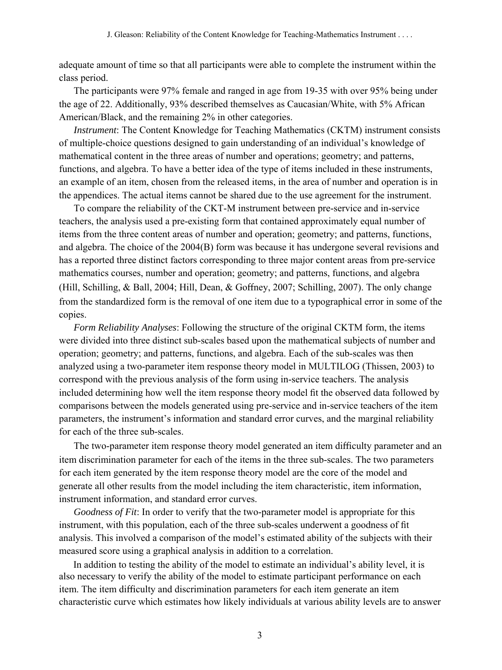adequate amount of time so that all participants were able to complete the instrument within the class period.

The participants were 97% female and ranged in age from 19-35 with over 95% being under the age of 22. Additionally, 93% described themselves as Caucasian/White, with 5% African American/Black, and the remaining 2% in other categories.

*Instrument*: The Content Knowledge for Teaching Mathematics (CKTM) instrument consists of multiple-choice questions designed to gain understanding of an individual's knowledge of mathematical content in the three areas of number and operations; geometry; and patterns, functions, and algebra. To have a better idea of the type of items included in these instruments, an example of an item, chosen from the released items, in the area of number and operation is in the appendices. The actual items cannot be shared due to the use agreement for the instrument.

To compare the reliability of the CKT-M instrument between pre-service and in-service teachers, the analysis used a pre-existing form that contained approximately equal number of items from the three content areas of number and operation; geometry; and patterns, functions, and algebra. The choice of the 2004(B) form was because it has undergone several revisions and has a reported three distinct factors corresponding to three major content areas from pre-service mathematics courses, number and operation; geometry; and patterns, functions, and algebra (Hill, Schilling, & Ball, 2004; Hill, Dean, & Goffney, 2007; Schilling, 2007). The only change from the standardized form is the removal of one item due to a typographical error in some of the copies.

*Form Reliability Analyses*: Following the structure of the original CKTM form, the items were divided into three distinct sub-scales based upon the mathematical subjects of number and operation; geometry; and patterns, functions, and algebra. Each of the sub-scales was then analyzed using a two-parameter item response theory model in MULTILOG (Thissen, 2003) to correspond with the previous analysis of the form using in-service teachers. The analysis included determining how well the item response theory model fit the observed data followed by comparisons between the models generated using pre-service and in-service teachers of the item parameters, the instrument's information and standard error curves, and the marginal reliability for each of the three sub-scales.

The two-parameter item response theory model generated an item difficulty parameter and an item discrimination parameter for each of the items in the three sub-scales. The two parameters for each item generated by the item response theory model are the core of the model and generate all other results from the model including the item characteristic, item information, instrument information, and standard error curves.

*Goodness of Fit*: In order to verify that the two-parameter model is appropriate for this instrument, with this population, each of the three sub-scales underwent a goodness of fit analysis. This involved a comparison of the model's estimated ability of the subjects with their measured score using a graphical analysis in addition to a correlation.

In addition to testing the ability of the model to estimate an individual's ability level, it is also necessary to verify the ability of the model to estimate participant performance on each item. The item difficulty and discrimination parameters for each item generate an item characteristic curve which estimates how likely individuals at various ability levels are to answer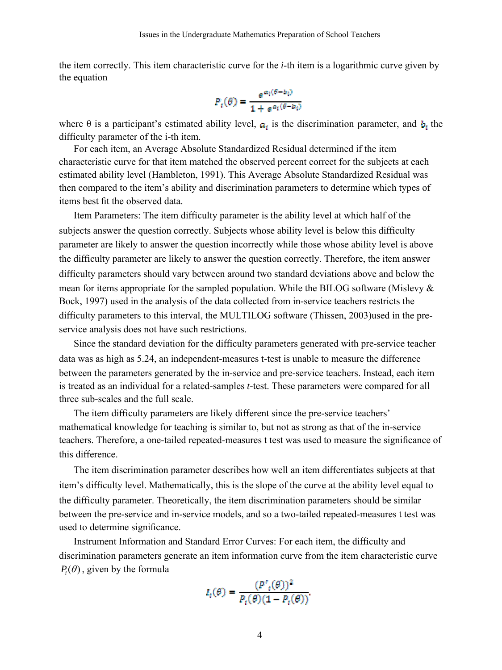the item correctly. This item characteristic curve for the *i*-th item is a logarithmic curve given by the equation

$$
P_t(\theta) = \frac{e^{\alpha_i(\theta - b_i)}}{1 + e^{\alpha_i(\theta - b_i)}}
$$

where  $\theta$  is a participant's estimated ability level,  $a_i$  is the discrimination parameter, and  $b_i$  the difficulty parameter of the i-th item.

For each item, an Average Absolute Standardized Residual determined if the item characteristic curve for that item matched the observed percent correct for the subjects at each estimated ability level (Hambleton, 1991). This Average Absolute Standardized Residual was then compared to the item's ability and discrimination parameters to determine which types of items best fit the observed data.

Item Parameters: The item difficulty parameter is the ability level at which half of the subjects answer the question correctly. Subjects whose ability level is below this difficulty parameter are likely to answer the question incorrectly while those whose ability level is above the difficulty parameter are likely to answer the question correctly. Therefore, the item answer difficulty parameters should vary between around two standard deviations above and below the mean for items appropriate for the sampled population. While the BILOG software (Mislevy & Bock, 1997) used in the analysis of the data collected from in-service teachers restricts the difficulty parameters to this interval, the MULTILOG software (Thissen, 2003)used in the preservice analysis does not have such restrictions.

Since the standard deviation for the difficulty parameters generated with pre-service teacher data was as high as 5.24, an independent-measures t-test is unable to measure the difference between the parameters generated by the in-service and pre-service teachers. Instead, each item is treated as an individual for a related-samples *t*-test. These parameters were compared for all three sub-scales and the full scale.

The item difficulty parameters are likely different since the pre-service teachers' mathematical knowledge for teaching is similar to, but not as strong as that of the in-service teachers. Therefore, a one-tailed repeated-measures t test was used to measure the significance of this difference.

The item discrimination parameter describes how well an item differentiates subjects at that item's difficulty level. Mathematically, this is the slope of the curve at the ability level equal to the difficulty parameter. Theoretically, the item discrimination parameters should be similar between the pre-service and in-service models, and so a two-tailed repeated-measures t test was used to determine significance.

Instrument Information and Standard Error Curves: For each item, the difficulty and discrimination parameters generate an item information curve from the item characteristic curve  $P_i(\theta)$ , given by the formula

$$
I_t(\theta) = \frac{(P'_{t}(\theta))^2}{P_{t}(\theta)(1 - P_{t}(\theta))}
$$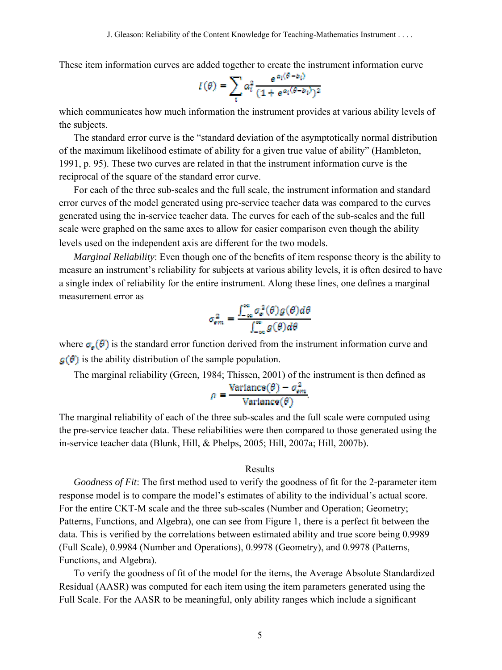These item information curves are added together to create the instrument information curve

$$
I(\theta) = \sum_{i} a_i^2 \frac{e^{\alpha_i(\theta - b_i)}}{(1 + e^{\alpha_i(\theta - b_i)})^2}
$$

which communicates how much information the instrument provides at various ability levels of the subjects.

The standard error curve is the "standard deviation of the asymptotically normal distribution of the maximum likelihood estimate of ability for a given true value of ability" (Hambleton, 1991, p. 95). These two curves are related in that the instrument information curve is the reciprocal of the square of the standard error curve.

For each of the three sub-scales and the full scale, the instrument information and standard error curves of the model generated using pre-service teacher data was compared to the curves generated using the in-service teacher data. The curves for each of the sub-scales and the full scale were graphed on the same axes to allow for easier comparison even though the ability levels used on the independent axis are different for the two models.

*Marginal Reliability*: Even though one of the benefits of item response theory is the ability to measure an instrument's reliability for subjects at various ability levels, it is often desired to have a single index of reliability for the entire instrument. Along these lines, one defines a marginal measurement error as

$$
\sigma_{em}^2 = \frac{\int_{-\infty}^{\infty} \sigma_e^2(\theta) g(\theta) d\theta}{\int_{-\infty}^{\infty} g(\theta) d\theta}
$$

where  $\sigma_e(\theta)$  is the standard error function derived from the instrument information curve and  $\mathcal{G}(\theta)$  is the ability distribution of the sample population.

The marginal reliability (Green, 1984; Thissen, 2001) of the instrument is then defined as

$$
\rho = \frac{\text{Variance}(\theta) - \sigma_{em}^2}{\text{Variance}(\theta)}.
$$

The marginal reliability of each of the three sub-scales and the full scale were computed using the pre-service teacher data. These reliabilities were then compared to those generated using the in-service teacher data (Blunk, Hill, & Phelps, 2005; Hill, 2007a; Hill, 2007b).

## Results

*Goodness of Fit*: The first method used to verify the goodness of fit for the 2-parameter item response model is to compare the model's estimates of ability to the individual's actual score. For the entire CKT-M scale and the three sub-scales (Number and Operation; Geometry; Patterns, Functions, and Algebra), one can see from Figure 1, there is a perfect fit between the data. This is verified by the correlations between estimated ability and true score being 0.9989 (Full Scale), 0.9984 (Number and Operations), 0.9978 (Geometry), and 0.9978 (Patterns, Functions, and Algebra).

To verify the goodness of fit of the model for the items, the Average Absolute Standardized Residual (AASR) was computed for each item using the item parameters generated using the Full Scale. For the AASR to be meaningful, only ability ranges which include a significant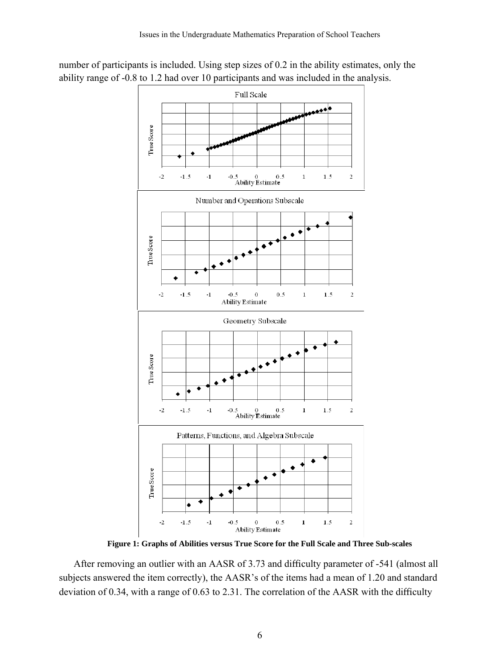

number of participants is included. Using step sizes of 0.2 in the ability estimates, only the ability range of -0.8 to 1.2 had over 10 participants and was included in the analysis.

**Figure 1: Graphs of Abilities versus True Score for the Full Scale and Three Sub-scales** 

After removing an outlier with an AASR of 3.73 and difficulty parameter of -541 (almost all subjects answered the item correctly), the AASR's of the items had a mean of 1.20 and standard deviation of 0.34, with a range of 0.63 to 2.31. The correlation of the AASR with the difficulty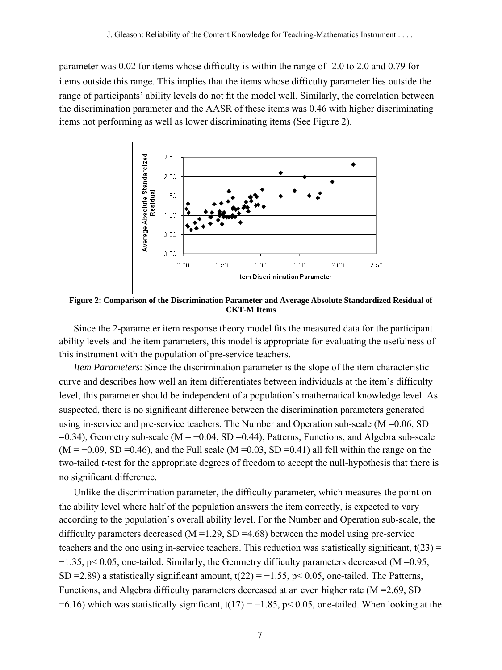parameter was 0.02 for items whose difficulty is within the range of -2.0 to 2.0 and 0.79 for items outside this range. This implies that the items whose difficulty parameter lies outside the range of participants' ability levels do not fit the model well. Similarly, the correlation between the discrimination parameter and the AASR of these items was 0.46 with higher discriminating items not performing as well as lower discriminating items (See Figure 2).



**Figure 2: Comparison of the Discrimination Parameter and Average Absolute Standardized Residual of CKT-M Items** 

Since the 2-parameter item response theory model fits the measured data for the participant ability levels and the item parameters, this model is appropriate for evaluating the usefulness of this instrument with the population of pre-service teachers.

*Item Parameters*: Since the discrimination parameter is the slope of the item characteristic curve and describes how well an item differentiates between individuals at the item's difficulty level, this parameter should be independent of a population's mathematical knowledge level. As suspected, there is no significant difference between the discrimination parameters generated using in-service and pre-service teachers. The Number and Operation sub-scale (M =0.06, SD  $=0.34$ ), Geometry sub-scale (M =  $-0.04$ , SD =0.44), Patterns, Functions, and Algebra sub-scale  $(M = -0.09, SD = 0.46)$ , and the Full scale  $(M = 0.03, SD = 0.41)$  all fell within the range on the two-tailed *t-*test for the appropriate degrees of freedom to accept the null-hypothesis that there is no significant difference.

Unlike the discrimination parameter, the difficulty parameter, which measures the point on the ability level where half of the population answers the item correctly, is expected to vary according to the population's overall ability level. For the Number and Operation sub-scale, the difficulty parameters decreased  $(M = 1.29, SD = 4.68)$  between the model using pre-service teachers and the one using in-service teachers. This reduction was statistically significant,  $t(23)$  = −1.35, p< 0.05, one-tailed. Similarly, the Geometry difficulty parameters decreased (M =0.95, SD = 2.89) a statistically significant amount,  $t(22) = -1.55$ , p< 0.05, one-tailed. The Patterns, Functions, and Algebra difficulty parameters decreased at an even higher rate (M =2.69, SD =6.16) which was statistically significant,  $t(17) = -1.85$ , p< 0.05, one-tailed. When looking at the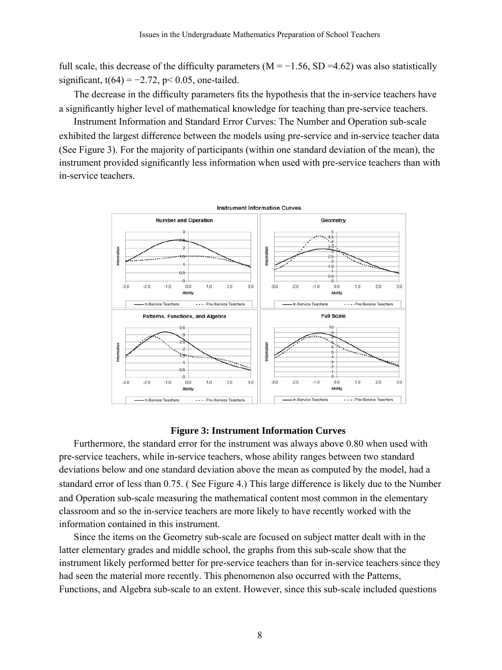full scale, this decrease of the difficulty parameters ( $M = -1.56$ , SD =4.62) was also statistically significant,  $t(64) = -2.72$ , p< 0.05, one-tailed.

The decrease in the difficulty parameters fits the hypothesis that the in-service teachers have a significantly higher level of mathematical knowledge for teaching than pre-service teachers.

Instrument Information and Standard Error Curves: The Number and Operation sub-scale exhibited the largest difference between the models using pre-service and in-service teacher data (See Figure 3). For the majority of participants (within one standard deviation of the mean), the instrument provided significantly less information when used with pre-service teachers than with in-service teachers.



#### **Figure 3: Instrument Information Curves**

Furthermore, the standard error for the instrument was always above 0.80 when used with pre-service teachers, while in-service teachers, whose ability ranges between two standard deviations below and one standard deviation above the mean as computed by the model, had a standard error of less than 0.75. ( See Figure 4.) This large difference is likely due to the Number and Operation sub-scale measuring the mathematical content most common in the elementary classroom and so the in-service teachers are more likely to have recently worked with the information contained in this instrument.

Since the items on the Geometry sub-scale are focused on subject matter dealt with in the latter elementary grades and middle school, the graphs from this sub-scale show that the instrument likely performed better for pre-service teachers than for in-service teachers since they had seen the material more recently. This phenomenon also occurred with the Patterns, Functions, and Algebra sub-scale to an extent. However, since this sub-scale included questions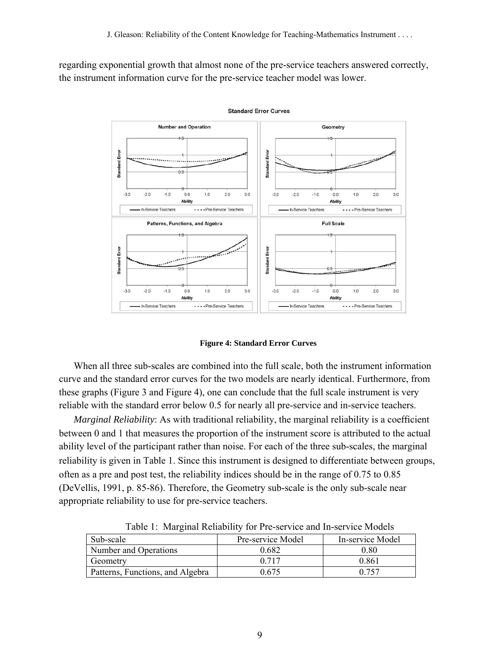regarding exponential growth that almost none of the pre-service teachers answered correctly, the instrument information curve for the pre-service teacher model was lower.



**Standard Error Curves** 

#### **Figure 4: Standard Error Curves**

When all three sub-scales are combined into the full scale, both the instrument information curve and the standard error curves for the two models are nearly identical. Furthermore, from these graphs (Figure 3 and Figure 4), one can conclude that the full scale instrument is very reliable with the standard error below 0.5 for nearly all pre-service and in-service teachers.

*Marginal Reliability*: As with traditional reliability, the marginal reliability is a coefficient between 0 and 1 that measures the proportion of the instrument score is attributed to the actual ability level of the participant rather than noise. For each of the three sub-scales, the marginal reliability is given in Table 1. Since this instrument is designed to differentiate between groups, often as a pre and post test, the reliability indices should be in the range of 0.75 to 0.85 (DeVellis, 1991, p. 85-86). Therefore, the Geometry sub-scale is the only sub-scale near appropriate reliability to use for pre-service teachers.

| Sub-scale                        | Pre-service Model | In-service Model |
|----------------------------------|-------------------|------------------|
| Number and Operations            | 0.682             | 0.80             |
| Geometry                         | 0.717             | 0.861            |
| Patterns, Functions, and Algebra | 0.675             | 0.757            |

Table 1: Marginal Reliability for Pre-service and In-service Models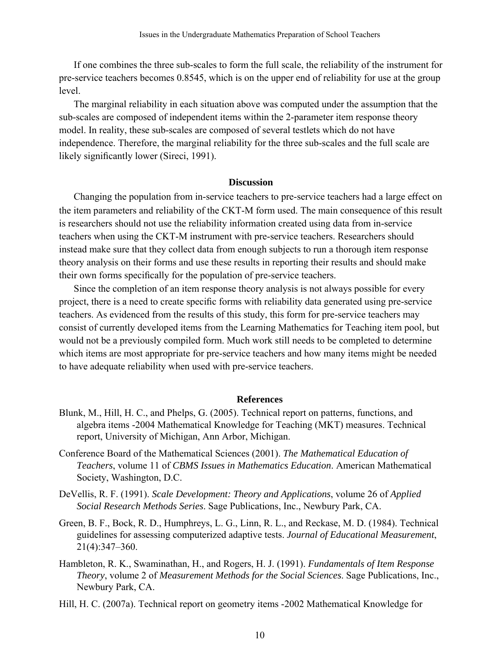If one combines the three sub-scales to form the full scale, the reliability of the instrument for pre-service teachers becomes 0.8545, which is on the upper end of reliability for use at the group level.

The marginal reliability in each situation above was computed under the assumption that the sub-scales are composed of independent items within the 2-parameter item response theory model. In reality, these sub-scales are composed of several testlets which do not have independence. Therefore, the marginal reliability for the three sub-scales and the full scale are likely significantly lower (Sireci, 1991).

## **Discussion**

Changing the population from in-service teachers to pre-service teachers had a large effect on the item parameters and reliability of the CKT-M form used. The main consequence of this result is researchers should not use the reliability information created using data from in-service teachers when using the CKT-M instrument with pre-service teachers. Researchers should instead make sure that they collect data from enough subjects to run a thorough item response theory analysis on their forms and use these results in reporting their results and should make their own forms specifically for the population of pre-service teachers.

Since the completion of an item response theory analysis is not always possible for every project, there is a need to create specific forms with reliability data generated using pre-service teachers. As evidenced from the results of this study, this form for pre-service teachers may consist of currently developed items from the Learning Mathematics for Teaching item pool, but would not be a previously compiled form. Much work still needs to be completed to determine which items are most appropriate for pre-service teachers and how many items might be needed to have adequate reliability when used with pre-service teachers.

#### **References**

- Blunk, M., Hill, H. C., and Phelps, G. (2005). Technical report on patterns, functions, and algebra items -2004 Mathematical Knowledge for Teaching (MKT) measures. Technical report, University of Michigan, Ann Arbor, Michigan.
- Conference Board of the Mathematical Sciences (2001). *The Mathematical Education of Teachers*, volume 11 of *CBMS Issues in Mathematics Education*. American Mathematical Society, Washington, D.C.
- DeVellis, R. F. (1991). *Scale Development: Theory and Applications*, volume 26 of *Applied Social Research Methods Series*. Sage Publications, Inc., Newbury Park, CA.
- Green, B. F., Bock, R. D., Humphreys, L. G., Linn, R. L., and Reckase, M. D. (1984). Technical guidelines for assessing computerized adaptive tests. *Journal of Educational Measurement*, 21(4):347–360.
- Hambleton, R. K., Swaminathan, H., and Rogers, H. J. (1991). *Fundamentals of Item Response Theory*, volume 2 of *Measurement Methods for the Social Sciences*. Sage Publications, Inc., Newbury Park, CA.
- Hill, H. C. (2007a). Technical report on geometry items -2002 Mathematical Knowledge for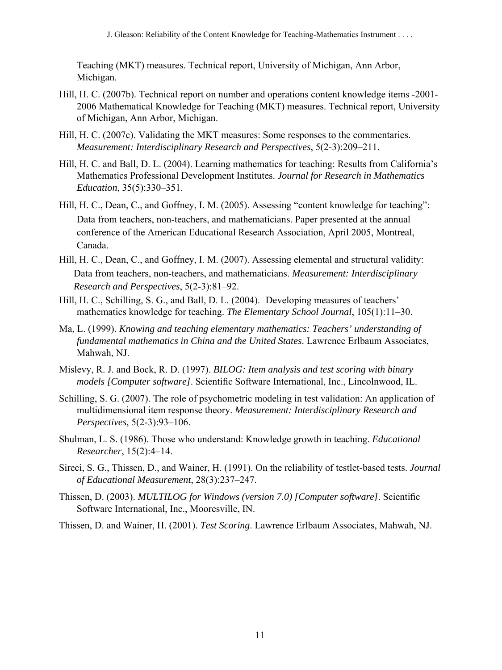Teaching (MKT) measures. Technical report, University of Michigan, Ann Arbor, Michigan.

- Hill, H. C. (2007b). Technical report on number and operations content knowledge items -2001- 2006 Mathematical Knowledge for Teaching (MKT) measures. Technical report, University of Michigan, Ann Arbor, Michigan.
- Hill, H. C. (2007c). Validating the MKT measures: Some responses to the commentaries. *Measurement: Interdisciplinary Research and Perspectives*, 5(2-3):209–211.
- Hill, H. C. and Ball, D. L. (2004). Learning mathematics for teaching: Results from California's Mathematics Professional Development Institutes. *Journal for Research in Mathematics Education*, 35(5):330–351.
- Hill, H. C., Dean, C., and Goffney, I. M. (2005). Assessing "content knowledge for teaching": Data from teachers, non-teachers, and mathematicians. Paper presented at the annual conference of the American Educational Research Association, April 2005, Montreal, Canada.
- Hill, H. C., Dean, C., and Goffney, I. M. (2007). Assessing elemental and structural validity: Data from teachers, non-teachers, and mathematicians. *Measurement: Interdisciplinary Research and Perspectives*, 5(2-3):81–92.
- Hill, H. C., Schilling, S. G., and Ball, D. L. (2004). Developing measures of teachers' mathematics knowledge for teaching. *The Elementary School Journal*, 105(1):11–30.
- Ma, L. (1999). *Knowing and teaching elementary mathematics: Teachers' understanding of fundamental mathematics in China and the United States*. Lawrence Erlbaum Associates, Mahwah, NJ.
- Mislevy, R. J. and Bock, R. D. (1997). *BILOG: Item analysis and test scoring with binary models [Computer software]*. Scientific Software International, Inc., Lincolnwood, IL.
- Schilling, S. G. (2007). The role of psychometric modeling in test validation: An application of multidimensional item response theory. *Measurement: Interdisciplinary Research and Perspectives*, 5(2-3):93–106.
- Shulman, L. S. (1986). Those who understand: Knowledge growth in teaching. *Educational Researcher*, 15(2):4–14.
- Sireci, S. G., Thissen, D., and Wainer, H. (1991). On the reliability of testlet-based tests. *Journal of Educational Measurement*, 28(3):237–247.
- Thissen, D. (2003). *MULTILOG for Windows (version 7.0) [Computer software]*. Scientific Software International, Inc., Mooresville, IN.
- Thissen, D. and Wainer, H. (2001). *Test Scoring*. Lawrence Erlbaum Associates, Mahwah, NJ.